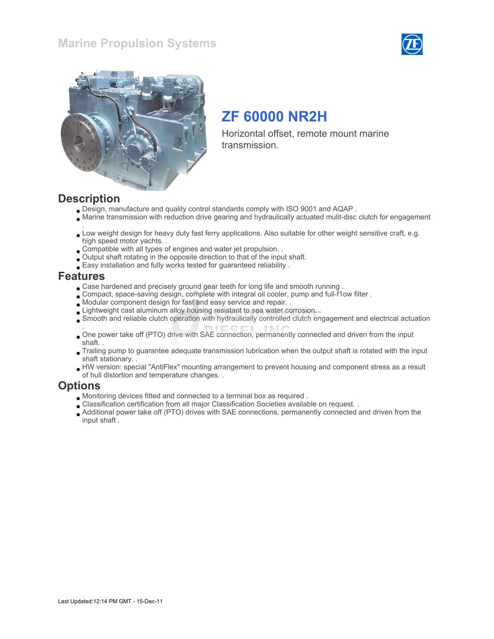### Marine Propulsion Systems





# ZF 60000 NR2H

Horizontal offset, remote mount marine transmission.

#### **Description**

- Design, manufacture and quality control standards comply with ISO 9001 and AQAP .
- Marine transmission with reduction drive gearing and hydraulically actuated mulit-disc clutch for engagement
- . Low weight design for heavy duty fast ferry applications. Also suitable for other weight sensitive craft, e.g. high speed motor yachts. .
- Compatible with all types of engines and water jet propulsion. .
- Output shaft rotating in the opposite direction to that of the input shaft.
- Easy installation and fully works tested for guaranteed reliability .

#### Features

- Case hardened and precisely ground gear teeth for long life and smooth running .
- Compact, space-saving design, complete with integral oil cooler, pump and full-f1ow filter .
- Modular component design for fast and easy service and repair. .
- Lightweight cast aluminum alloy housing resistant to sea water corrosion. .
- Smooth and reliable clutch operation with hydraulically controlled clutch engagement and electrical actuation
- . One power take off (PTO) drive with SAE connection, permanently connected and driven from the input shaft. .
- Trailing pump to guarantee adequate transmission lubrication when the output shaft is rotated with the input shaft stationary. .
- HW version: special "AntiFlex" mounting arrangement to prevent housing and component stress as a result of hull distortion and temperature changes. .

#### **Options**

- Monitoring devices fitted and connected to a terminal box as required .
- Classification certification from all major Classification Societies available on request. .
- Additional power take off (PTO) drives with SAE connections, permanently connected and driven from the input shaft .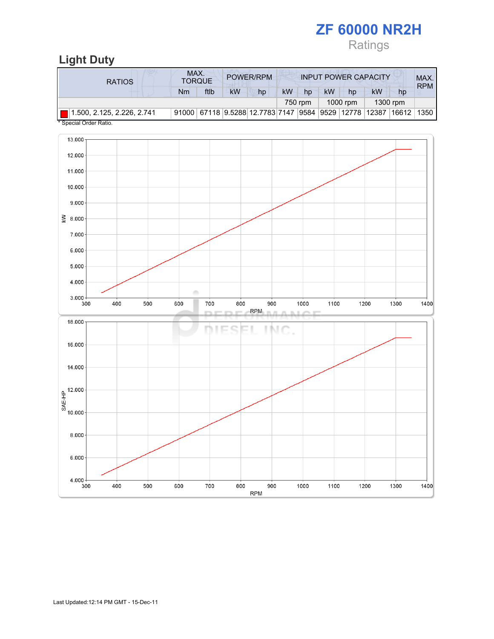# ZF 60000 NR2H Ratings

## Light Duty

| <b>RATIOS</b>                   | MAX.<br><b>TORQUE</b> |      |    | POWER/RPM                                             | <b>INPUT POWER CAPACITY</b> |         |           |          |           | MAX.<br><b>RPM</b> |      |
|---------------------------------|-----------------------|------|----|-------------------------------------------------------|-----------------------------|---------|-----------|----------|-----------|--------------------|------|
|                                 | Nm                    | ftlb | kW | hp                                                    | <b>kW</b>                   | hp      | <b>kW</b> | hp       | <b>kW</b> | hp                 |      |
|                                 |                       |      |    |                                                       |                             | 750 rpm |           | 1000 rpm |           | 1300 rpm           |      |
| 1.500, 2.125, 2.226, 2.741<br>. |                       |      |    | 91000 67118 9.5288 12.7783 7147 9584 9529 12778 12387 |                             |         |           |          |           | 16612              | 1350 |

\* Special Order Ratio.

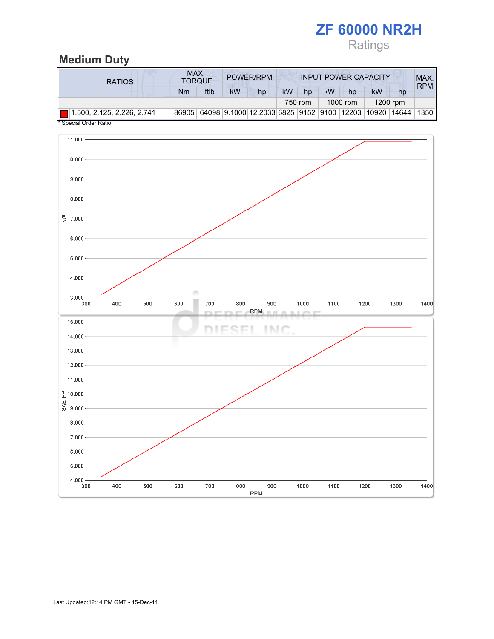# ZF 60000 NR2H Ratings

# Medium Duty

| <b>RATIOS</b>              | MAX.<br><b>TORQUE</b> |      |    | POWER/RPM                                                   |           |         | <b>INPUT POWER CAPACITY</b> |          |           |            | MAX.<br><b>RPM</b> |
|----------------------------|-----------------------|------|----|-------------------------------------------------------------|-----------|---------|-----------------------------|----------|-----------|------------|--------------------|
|                            | Nm                    | ftlb | kW | hp                                                          | <b>kW</b> | hp      | <b>kW</b>                   | hp       | <b>kW</b> | hp         |                    |
|                            |                       |      |    |                                                             |           | 750 rpm |                             | 1000 rpm |           | $1200$ rpm |                    |
| 1.500, 2.125, 2.226, 2.741 |                       |      |    | 86905 64098 9.1000 12.2033 6825 9152 9100 12203 10920 14644 |           |         |                             |          |           |            | 1350               |

\* Special Order Ratio.

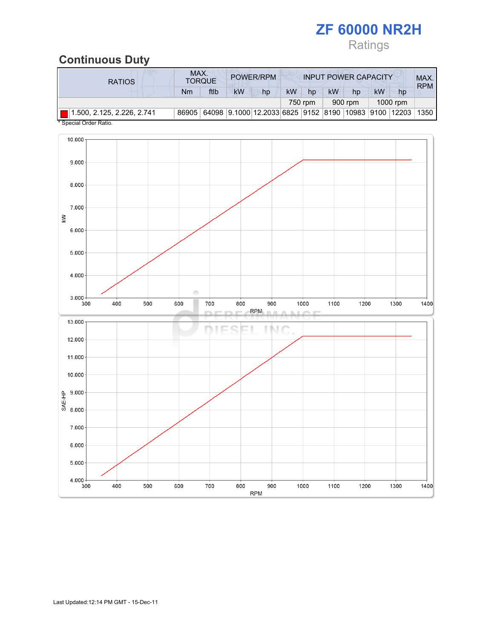# ZF 60000 NR2H Ratings

## Continuous Duty

| <b>RATIOS</b>              |       | MAX.<br>POWER/RPM<br><b>INPUT POWER CAPACITY</b><br><b>TORQUE</b> |           |                                                           |           |         |           |         |    |          |            |
|----------------------------|-------|-------------------------------------------------------------------|-----------|-----------------------------------------------------------|-----------|---------|-----------|---------|----|----------|------------|
|                            | Nm    | ftlb                                                              | <b>kW</b> | hp                                                        | <b>kW</b> | hp      | <b>kW</b> | hp      | kW | hp       | <b>RPM</b> |
|                            |       |                                                                   |           |                                                           |           | 750 rpm |           | 900 rpm |    | 1000 rpm |            |
| 1.500, 2.125, 2.226, 2.741 | 86905 |                                                                   |           | 64098 9.1000 12.2033 6825 9152 8190 10983 9100 12203 1350 |           |         |           |         |    |          |            |

\* Special Order Ratio.

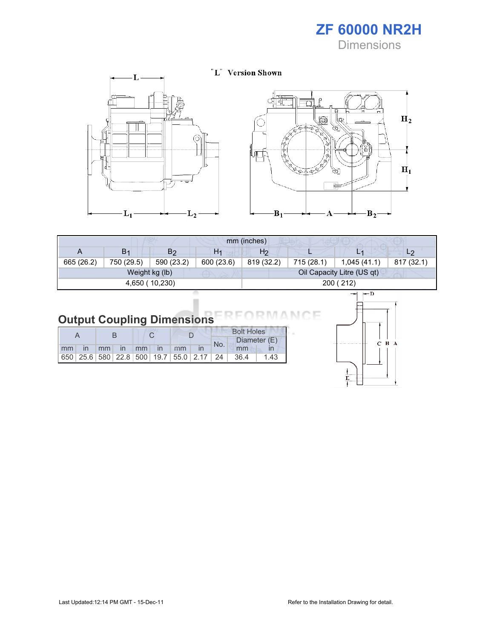# ZF 60000 NR2H

**Dimensions** 

 $H_2$ 

 $\mathbf{H}_1$ 

Ť



| mm (inches) |                |                |                |            |            |                            |                |  |  |
|-------------|----------------|----------------|----------------|------------|------------|----------------------------|----------------|--|--|
| A           | B <sub>1</sub> | B2             | H <sub>1</sub> | H2         |            | L1                         | L <sub>2</sub> |  |  |
| 665 (26.2)  | 750 (29.5)     | 590 (23.2)     | 600 (23.6)     | 819 (32.2) | 715 (28.1) | 1,045(41.1)                | 817 (32.1)     |  |  |
|             |                | Weight kg (lb) |                |            |            | Oil Capacity Litre (US qt) |                |  |  |
|             |                | 4,650 (10,230) |                | 200 (212)  |            |                            |                |  |  |

| <b>Output Coupling Dimensions</b> |  |  |
|-----------------------------------|--|--|

|                |    |                |    |              |                                                         |  | <b>Bolt Holes</b> |              |      |
|----------------|----|----------------|----|--------------|---------------------------------------------------------|--|-------------------|--------------|------|
|                |    |                |    |              |                                                         |  | No.               | Diameter (E) |      |
| m <sub>m</sub> | mm | $\blacksquare$ | mm | $\mathsf{I}$ | mm                                                      |  |                   | mm           |      |
|                |    |                |    |              | 650   25.6   580   22.8   500   19.7   55.0   2.17   24 |  |                   | 36.4         | 1.43 |